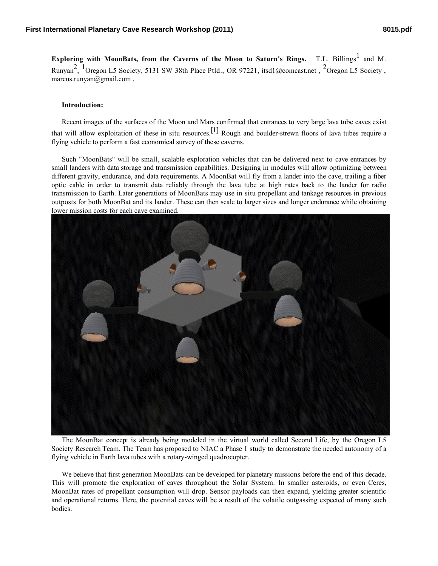**Exploring with MoonBats, from the Caverns of the Moon to Saturn's Rings.** T.L. Billings<sup>1</sup> and M. Runyan<sup>2</sup>, <sup>1</sup>Oregon L5 Society, 5131 SW 38th Place Ptld., OR 97221, itsd1@comcast.net, <sup>2</sup>Oregon L5 Society, marcus.runyan@gmail.com .

## **Introduction:**

Recent images of the surfaces of the Moon and Mars confirmed that entrances to very large lava tube caves exist that will allow exploitation of these in situ resources.<sup>[1]</sup> Rough and boulder-strewn floors of lava tubes require a flying vehicle to perform a fast economical survey of these caverns.

Such "MoonBats" will be small, scalable exploration vehicles that can be delivered next to cave entrances by small landers with data storage and transmission capabilities. Designing in modules will allow optimizing between different gravity, endurance, and data requirements. A MoonBat will fly from a lander into the cave, trailing a fiber optic cable in order to transmit data reliably through the lava tube at high rates back to the lander for radio transmission to Earth. Later generations of MoonBats may use in situ propellant and tankage resources in previous outposts for both MoonBat and its lander. These can then scale to larger sizes and longer endurance while obtaining lower mission costs for each cave examined.



The MoonBat concept is already being modeled in the virtual world called Second Life, by the Oregon L5 Society Research Team. The Team has proposed to NIAC a Phase 1 study to demonstrate the needed autonomy of a flying vehicle in Earth lava tubes with a rotary-winged quadrocopter.

We believe that first generation MoonBats can be developed for planetary missions before the end of this decade. This will promote the exploration of caves throughout the Solar System. In smaller asteroids, or even Ceres, MoonBat rates of propellant consumption will drop. Sensor payloads can then expand, yielding greater scientific and operational returns. Here, the potential caves will be a result of the volatile outgassing expected of many such bodies.